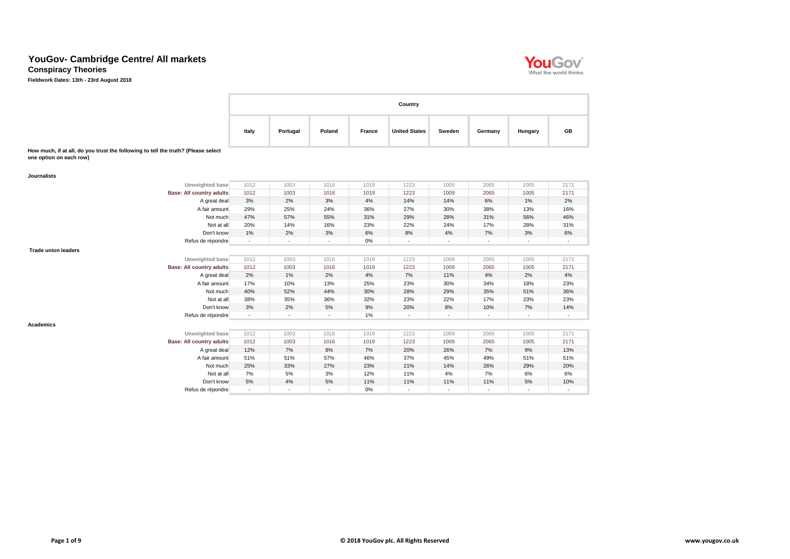**Conspiracy Theories**

**Fieldwork Dates: 13th - 23rd August 2018**

**How much, if at all, do you trust the following to tell the truth? (Please select one option on each row)**

|       |          |        |        | Country              |        |         |         |    |
|-------|----------|--------|--------|----------------------|--------|---------|---------|----|
| Italy | Portugal | Poland | France | <b>United States</b> | Sweden | Germany | Hungary | GB |

| <b>Journalists</b>         |                                 |                          |                          |        |       |                          |        |                          |                          |                |
|----------------------------|---------------------------------|--------------------------|--------------------------|--------|-------|--------------------------|--------|--------------------------|--------------------------|----------------|
|                            | Unweighted base                 | 1012                     | 1003                     | 1016   | 1019  | 1223                     | 1009   | 2065                     | 1005                     | 2171           |
|                            | <b>Base: All country adults</b> | 1012                     | 1003                     | 1016   | 1019  | 1223                     | 1009   | 2065                     | 1005                     | 2171           |
|                            | A great deal                    | 3%                       | 2%                       | 3%     | 4%    | 14%                      | 14%    | 6%                       | $1\%$                    | 2%             |
|                            | A fair amount                   | 29%                      | 25%                      | 24%    | 36%   | 27%                      | 30%    | 38%                      | 13%                      | 16%            |
|                            | Not much                        | 47%                      | 57%                      | 55%    | 31%   | 29%                      | 28%    | 31%                      | 56%                      | 46%            |
|                            | Not at all                      | 20%                      | 14%                      | 16%    | 23%   | 22%                      | 24%    | 17%                      | 28%                      | 31%            |
|                            | Don't know                      | 1%                       | 2%                       | 3%     | 6%    | 8%                       | 4%     | 7%                       | 3%                       | 6%             |
|                            | Refus de répondre               | $\overline{\phantom{a}}$ | $\blacksquare$           | $\sim$ | $0\%$ | $\overline{\phantom{a}}$ | $\sim$ | $\sim$                   | $\overline{\phantom{a}}$ | $\blacksquare$ |
| <b>Trade union leaders</b> |                                 |                          |                          |        |       |                          |        |                          |                          |                |
|                            | Unweighted base                 | 1012                     | 1003                     | 1016   | 1019  | 1223                     | 1009   | 2065                     | 1005                     | 2171           |
|                            | <b>Base: All country adults</b> | 1012                     | 1003                     | 1016   | 1019  | 1223                     | 1009   | 2065                     | 1005                     | 2171           |
|                            | A great deal                    | 2%                       | 1%                       | 2%     | 4%    | 7%                       | 11%    | 4%                       | 2%                       | 4%             |
|                            | A fair amount                   | 17%                      | 10%                      | 13%    | 25%   | 23%                      | 30%    | 34%                      | 18%                      | 23%            |
|                            | Not much                        | 40%                      | 52%                      | 44%    | 30%   | 28%                      | 29%    | 35%                      | 51%                      | 36%            |
|                            | Not at all                      | 38%                      | 35%                      | 36%    | 32%   | 23%                      | 22%    | 17%                      | 23%                      | 23%            |
|                            | Don't know                      | 3%                       | 2%                       | 5%     | 9%    | 20%                      | 8%     | 10%                      | 7%                       | 14%            |
|                            | Refus de répondre               | $\overline{\phantom{a}}$ | $\overline{\phantom{a}}$ | $\sim$ | $1\%$ | $\overline{\phantom{a}}$ | $\sim$ | $\overline{\phantom{a}}$ | $\overline{\phantom{a}}$ | $\blacksquare$ |
| <b>Academics</b>           |                                 |                          |                          |        |       |                          |        |                          |                          |                |
|                            | Unweighted base                 | 1012                     | 1003                     | 1016   | 1019  | 1223                     | 1009   | 2065                     | 1005                     | 2171           |
|                            | <b>Base: All country adults</b> | 1012                     | 1003                     | 1016   | 1019  | 1223                     | 1009   | 2065                     | 1005                     | 2171           |
|                            | A great deal                    | 12%                      | 7%                       | 8%     | $7\%$ | 20%                      | 26%    | $7\%$                    | 9%                       | 13%            |
|                            | A fair amount                   | 51%                      | 51%                      | 57%    | 46%   | 37%                      | 45%    | 49%                      | 51%                      | 51%            |
|                            | Not much                        | 25%                      | 33%                      | 27%    | 23%   | 21%                      | 14%    | 26%                      | 29%                      | 20%            |
|                            | Not at all                      | 7%                       | 5%                       | 3%     | 12%   | 11%                      | 4%     | 7%                       | 6%                       | 6%             |
|                            | Don't know                      | 5%                       | 4%                       | 5%     | 11%   | 11%                      | 11%    | 11%                      | 5%                       | 10%            |
|                            | Refus de répondre               | $\overline{\phantom{a}}$ |                          |        | 0%    |                          |        |                          | $\overline{\phantom{a}}$ |                |

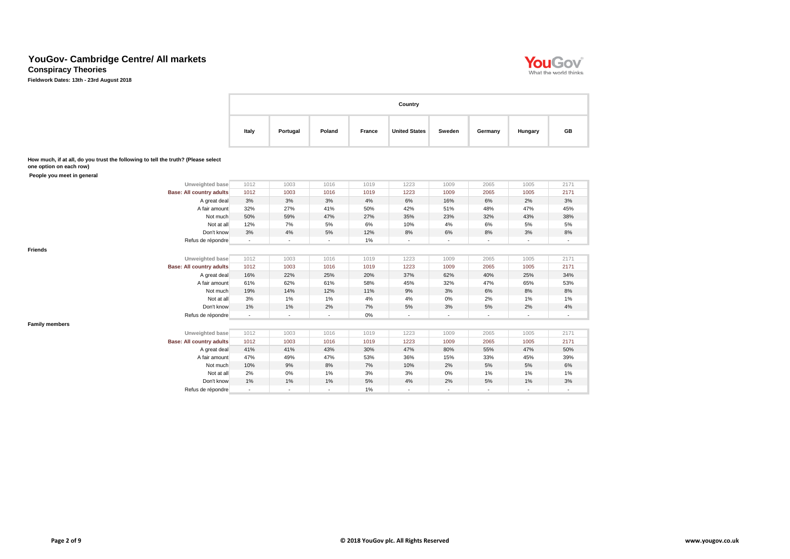**Conspiracy Theories**

**Fieldwork Dates: 13th - 23rd August 2018**

| Country |          |        |        |                      |        |         |         |    |  |  |  |
|---------|----------|--------|--------|----------------------|--------|---------|---------|----|--|--|--|
| Italy   | Portugal | Poland | France | <b>United States</b> | Sweden | Germany | Hungary | GB |  |  |  |

**How much, if at all, do you trust the following to tell the truth? (Please select one option on each row)**

 **People you meet in general**

**Friends**

| Unweighted base                 | 1012           | 1003 | 1016           | 1019 | 1223                     | 1009                     | 2065           | 1005                     | 2171           |
|---------------------------------|----------------|------|----------------|------|--------------------------|--------------------------|----------------|--------------------------|----------------|
| <b>Base: All country adults</b> | 1012           | 1003 | 1016           | 1019 | 1223                     | 1009                     | 2065           | 1005                     | 2171           |
| A great deal                    | 3%             | 3%   | 3%             | 4%   | 6%                       | 16%                      | 6%             | 2%                       | 3%             |
| A fair amount                   | 32%            | 27%  | 41%            | 50%  | 42%                      | 51%                      | 48%            | 47%                      | 45%            |
| Not much                        | 50%            | 59%  | 47%            | 27%  | 35%                      | 23%                      | 32%            | 43%                      | 38%            |
| Not at all                      | 12%            | 7%   | 5%             | 6%   | 10%                      | 4%                       | 6%             | 5%                       | 5%             |
| Don't know                      | 3%             | 4%   | 5%             | 12%  | 8%                       | 6%                       | 8%             | 3%                       | 8%             |
| Refus de répondre               | $\blacksquare$ |      | $\blacksquare$ | 1%   | $\overline{\phantom{a}}$ |                          | $\blacksquare$ | $\overline{\phantom{a}}$ |                |
|                                 |                |      |                |      |                          |                          |                |                          |                |
| Unweighted base                 | 1012           | 1003 | 1016           | 1019 | 1223                     | 1009                     | 2065           | 1005                     | 2171           |
| <b>Base: All country adults</b> | 1012           | 1003 | 1016           | 1019 | 1223                     | 1009                     | 2065           | 1005                     | 2171           |
| A great deal                    | 16%            | 22%  | 25%            | 20%  | 37%                      | 62%                      | 40%            | 25%                      | 34%            |
| A fair amount                   | 61%            | 62%  | 61%            | 58%  | 45%                      | 32%                      | 47%            | 65%                      | 53%            |
| Not much                        | 19%            | 14%  | 12%            | 11%  | 9%                       | 3%                       | 6%             | 8%                       | 8%             |
| Not at all                      | 3%             | 1%   | 1%             | 4%   | 4%                       | 0%                       | 2%             | 1%                       | 1%             |
| Don't know                      | 1%             | 1%   | 2%             | 7%   | 5%                       | 3%                       | 5%             | 2%                       | 4%             |
| Refus de répondre               | $\blacksquare$ |      |                | 0%   |                          | $\overline{\phantom{a}}$ | $\blacksquare$ | $\blacksquare$           |                |
|                                 |                |      |                |      |                          |                          |                |                          |                |
| Unweighted base                 | 1012           | 1003 | 1016           | 1019 | 1223                     | 1009                     | 2065           | 1005                     | 2171           |
| <b>Base: All country adults</b> | 1012           | 1003 | 1016           | 1019 | 1223                     | 1009                     | 2065           | 1005                     | 2171           |
| A great deal                    | 41%            | 41%  | 43%            | 30%  | 47%                      | 80%                      | 55%            | 47%                      | 50%            |
| A fair amount                   | 47%            | 49%  | 47%            | 53%  | 36%                      | 15%                      | 33%            | 45%                      | 39%            |
| Not much                        | 10%            | 9%   | 8%             | 7%   | 10%                      | 2%                       | 5%             | 5%                       | 6%             |
| Not at all                      | 2%             | 0%   | 1%             | 3%   | 3%                       | 0%                       | 1%             | 1%                       | 1%             |
| Don't know                      | 1%             | 1%   | 1%             | 5%   | 4%                       | 2%                       | 5%             | 1%                       | 3%             |
| Refus de répondre               | $\blacksquare$ |      | $\blacksquare$ | 1%   |                          | $\blacksquare$           | $\blacksquare$ | $\blacksquare$           | $\blacksquare$ |

**Family members**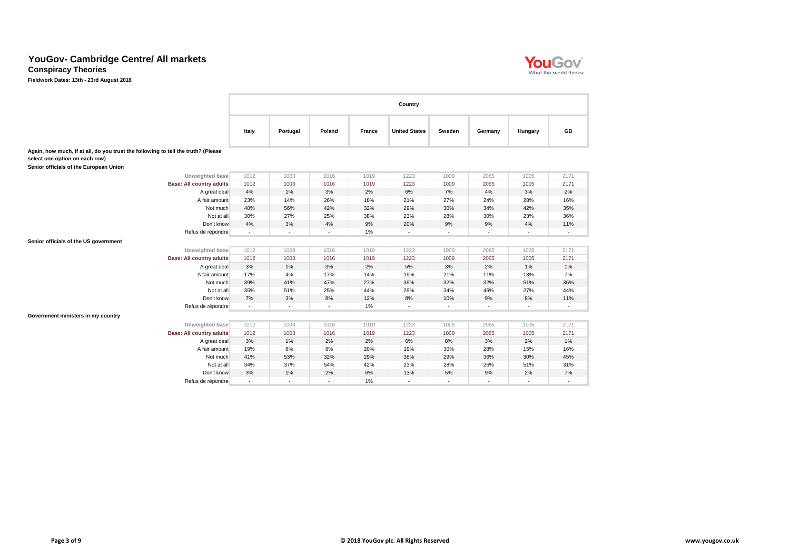D.

**Conspiracy Theories**

|                                                                                                                     |                |                          |                          |        | Country                  |                          |                          |                          |                          |  |  |  |  |  |  |  |  |
|---------------------------------------------------------------------------------------------------------------------|----------------|--------------------------|--------------------------|--------|--------------------------|--------------------------|--------------------------|--------------------------|--------------------------|--|--|--|--|--|--|--|--|
|                                                                                                                     | Italy          | Portugal                 | Poland                   | France | <b>United States</b>     | Sweden                   | Germany                  | Hungary                  | <b>GB</b>                |  |  |  |  |  |  |  |  |
| Again, how much, if at all, do you trust the following to tell the truth? (Please<br>select one option on each row) |                |                          |                          |        |                          |                          |                          |                          |                          |  |  |  |  |  |  |  |  |
| Senior officials of the European Union                                                                              |                |                          |                          |        |                          |                          |                          |                          |                          |  |  |  |  |  |  |  |  |
| Unweighted base                                                                                                     | 1012           | 1003                     | 1016                     | 1019   | 1223                     | 1009                     | 2065                     | 1005                     | 2171                     |  |  |  |  |  |  |  |  |
| <b>Base: All country adults</b>                                                                                     | 1012           | 1003                     | 1016                     | 1019   | 1223                     | 1009                     | 2065                     | 1005                     | 2171                     |  |  |  |  |  |  |  |  |
| A great deal                                                                                                        | 4%             | 1%                       | 3%                       | 2%     | 6%                       | 7%                       | 4%                       | 3%                       | 2%                       |  |  |  |  |  |  |  |  |
| A fair amount                                                                                                       | 23%            | 14%                      | 26%                      | 18%    | 21%                      | 27%                      | 24%                      | 28%                      | 16%                      |  |  |  |  |  |  |  |  |
| Not much                                                                                                            | 40%            | 56%                      | 42%                      | 32%    | 29%                      | 30%                      | 34%                      | 42%                      | 35%                      |  |  |  |  |  |  |  |  |
| Not at all                                                                                                          | 30%            | 27%                      | 25%                      | 38%    | 23%                      | 28%                      | 30%                      | 23%                      | 36%                      |  |  |  |  |  |  |  |  |
| Don't know                                                                                                          | 4%             | 3%                       | 4%                       | 9%     | 20%                      | 9%                       | 9%                       | 4%                       | 11%                      |  |  |  |  |  |  |  |  |
| Refus de répondre                                                                                                   | $\blacksquare$ | $\blacksquare$           | $\sim$                   | 1%     | $\sim$                   | $\sim$                   | $\blacksquare$           | $\blacksquare$           | $\overline{\phantom{a}}$ |  |  |  |  |  |  |  |  |
| Senior officials of the US government                                                                               |                |                          |                          |        |                          |                          |                          |                          |                          |  |  |  |  |  |  |  |  |
| Unweighted base                                                                                                     | 1012           | 1003                     | 1016                     | 1019   | 1223                     | 1009                     | 2065                     | 1005                     | 2171                     |  |  |  |  |  |  |  |  |
| <b>Base: All country adults</b>                                                                                     | 1012           | 1003                     | 1016                     | 1019   | 1223                     | 1009                     | 2065                     | 1005                     | 2171                     |  |  |  |  |  |  |  |  |
| A great deal                                                                                                        | 3%             | 1%                       | $3%$                     | 2%     | 5%                       | 3%                       | 2%                       | 1%                       | 1%                       |  |  |  |  |  |  |  |  |
| A fair amount                                                                                                       | 17%            | 4%                       | 17%                      | 14%    | 19%                      | 21%                      | 11%                      | 13%                      | 7%                       |  |  |  |  |  |  |  |  |
| Not much                                                                                                            | 39%            | 41%                      | 47%                      | 27%    | 39%                      | 32%                      | 32%                      | 51%                      | 36%                      |  |  |  |  |  |  |  |  |
| Not at all                                                                                                          | 35%            | 51%                      | 25%                      | 44%    | 29%                      | 34%                      | 46%                      | 27%                      | 44%                      |  |  |  |  |  |  |  |  |
| Don't know                                                                                                          | 7%             | 3%                       | 8%                       | 12%    | 8%                       | 10%                      | 9%                       | 8%                       | 11%                      |  |  |  |  |  |  |  |  |
| Refus de répondre                                                                                                   | $\sim$         | $\overline{\phantom{a}}$ | $\overline{\phantom{a}}$ | 1%     | $\overline{\phantom{a}}$ | $\overline{\phantom{a}}$ | $\overline{\phantom{a}}$ | $\overline{\phantom{a}}$ | $\sim$                   |  |  |  |  |  |  |  |  |
| Government ministers in my country                                                                                  |                |                          |                          |        |                          |                          |                          |                          |                          |  |  |  |  |  |  |  |  |
| Unweighted base                                                                                                     | 1012           | 1003                     | 1016                     | 1019   | 1223                     | 1009                     | 2065                     | 1005                     | 2171                     |  |  |  |  |  |  |  |  |
| <b>Base: All country adults</b>                                                                                     | 1012           | 1003                     | 1016                     | 1019   | 1223                     | 1009                     | 2065                     | 1005                     | 2171                     |  |  |  |  |  |  |  |  |
| A great deal                                                                                                        | 3%             | 1%                       | 2%                       | 2%     | 6%                       | 8%                       | 3%                       | 2%                       | 1%                       |  |  |  |  |  |  |  |  |
| A fair amount                                                                                                       | 19%            | 8%                       | 9%                       | 20%    | 19%                      | 30%                      | 28%                      | 15%                      | 16%                      |  |  |  |  |  |  |  |  |
| Not much                                                                                                            | 41%            | 53%                      | 32%                      | 29%    | 38%                      | 29%                      | 36%                      | 30%                      | 45%                      |  |  |  |  |  |  |  |  |
| Not at all                                                                                                          | 34%            | 37%                      | 54%                      | 42%    | 23%                      | 28%                      | 25%                      | 51%                      | 31%                      |  |  |  |  |  |  |  |  |
| Don't know                                                                                                          | 3%             | 1%                       | 2%                       | 6%     | 13%                      | 5%                       | 9%                       | 2%                       | 7%                       |  |  |  |  |  |  |  |  |
| Refus de répondre                                                                                                   | $\blacksquare$ | $\sim$                   | $\sim$                   | 1%     | $\sim$                   | $\sim$                   | $\sim$                   |                          |                          |  |  |  |  |  |  |  |  |

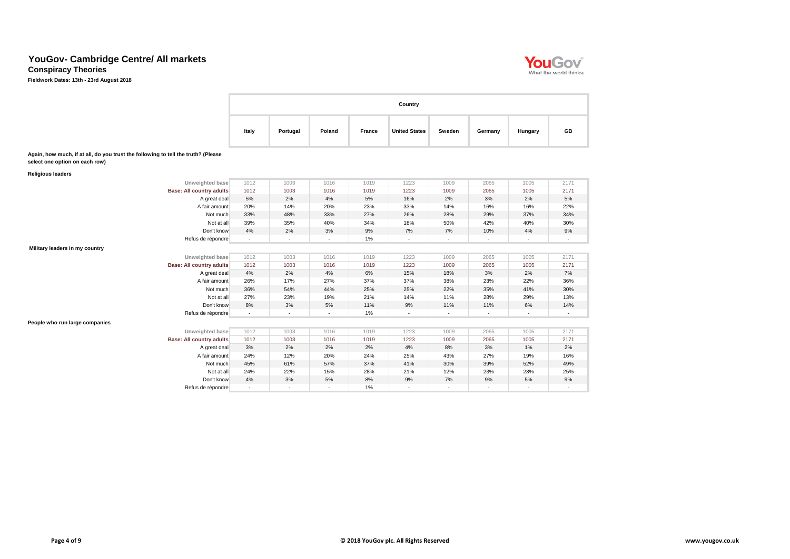**Conspiracy Theories**

**Fieldwork Dates: 13th - 23rd August 2018**

|                                                                                                                     |                |                |        |               | Country              |                |                |         |           |
|---------------------------------------------------------------------------------------------------------------------|----------------|----------------|--------|---------------|----------------------|----------------|----------------|---------|-----------|
|                                                                                                                     | Italy          | Portugal       | Poland | <b>France</b> | <b>United States</b> | <b>Sweden</b>  | Germany        | Hungary | <b>GB</b> |
| Again, how much, if at all, do you trust the following to tell the truth? (Please<br>select one option on each row) |                |                |        |               |                      |                |                |         |           |
| <b>Religious leaders</b>                                                                                            |                |                |        |               |                      |                |                |         |           |
| Unweighted base                                                                                                     | 1012           | 1003           | 1016   | 1019          | 1223                 | 1009           | 2065           | 1005    | 2171      |
| <b>Base: All country adults</b>                                                                                     | 1012           | 1003           | 1016   | 1019          | 1223                 | 1009           | 2065           | 1005    | 2171      |
| A great deal                                                                                                        | 5%             | 2%             | 4%     | $5\%$         | 16%                  | 2%             | 3%             | 2%      | $5\%$     |
| A fair amount                                                                                                       | 20%            | 14%            | 20%    | 23%           | 33%                  | 14%            | 16%            | 16%     | 22%       |
| Not much                                                                                                            | 33%            | 48%            | 33%    | 27%           | 26%                  | 28%            | 29%            | 37%     | 34%       |
| Not at all                                                                                                          | 39%            | 35%            | 40%    | 34%           | 18%                  | 50%            | 42%            | 40%     | 30%       |
| Don't know                                                                                                          | 4%             | 2%             | $3%$   | $9\%$         | 7%                   | 7%             | 10%            | $4%$    | $9\%$     |
| Refus de répondre                                                                                                   | $\blacksquare$ | $\blacksquare$ | $\sim$ | 1%            | $\blacksquare$       | $\sim$         | $\sim$         |         | $\sim$    |
| Military leaders in my country                                                                                      |                |                |        |               |                      |                |                |         |           |
| Unweighted base                                                                                                     | 1012           | 1003           | 1016   | 1019          | 1223                 | 1009           | 2065           | 1005    | 2171      |
| <b>Base: All country adults</b>                                                                                     | 1012           | 1003           | 1016   | 1019          | 1223                 | 1009           | 2065           | 1005    | 2171      |
| A great deal                                                                                                        | 4%             | 2%             | $4\%$  | 6%            | 15%                  | 18%            | 3%             | 2%      | 7%        |
| A fair amount                                                                                                       | 26%            | 17%            | 27%    | 37%           | 37%                  | 38%            | 23%            | 22%     | 36%       |
| Not much                                                                                                            | 36%            | 54%            | 44%    | 25%           | 25%                  | 22%            | 35%            | 41%     | 30%       |
| Not at all                                                                                                          | 27%            | 23%            | 19%    | 21%           | 14%                  | 11%            | 28%            | 29%     | 13%       |
| Don't know                                                                                                          | 8%             | 3%             | $5\%$  | 11%           | $9\%$                | 11%            | 11%            | $6\%$   | 14%       |
| Refus de répondre                                                                                                   | $\sim$         | $\blacksquare$ | $\sim$ | 1%            | $\blacksquare$       | $\blacksquare$ | $\sim$         | $\sim$  | $\sim$    |
| People who run large companies                                                                                      |                |                |        |               |                      |                |                |         |           |
| Unweighted base                                                                                                     | 1012           | 1003           | 1016   | 1019          | 1223                 | 1009           | 2065           | 1005    | 2171      |
| <b>Base: All country adults</b>                                                                                     | 1012           | 1003           | 1016   | 1019          | 1223                 | 1009           | 2065           | 1005    | 2171      |
| A great deal                                                                                                        | 3%             | 2%             | 2%     | 2%            | 4%                   | 8%             | 3%             | 1%      | 2%        |
| A fair amount                                                                                                       | 24%            | 12%            | 20%    | 24%           | 25%                  | 43%            | 27%            | 19%     | 16%       |
| Not much                                                                                                            | 45%            | 61%            | 57%    | 37%           | 41%                  | 30%            | 39%            | 52%     | 49%       |
| Not at all                                                                                                          | 24%            | 22%            | 15%    | 28%           | 21%                  | 12%            | 23%            | 23%     | 25%       |
| Don't know                                                                                                          | 4%             | 3%             | $5\%$  | 8%            | $9\%$                | 7%             | 9%             | 5%      | $9\%$     |
| Refus de répondre                                                                                                   | ä,             | $\blacksquare$ | $\sim$ | 1%            | $\sim$               | $\blacksquare$ | $\blacksquare$ |         | $\sim$    |

**YOU GOV**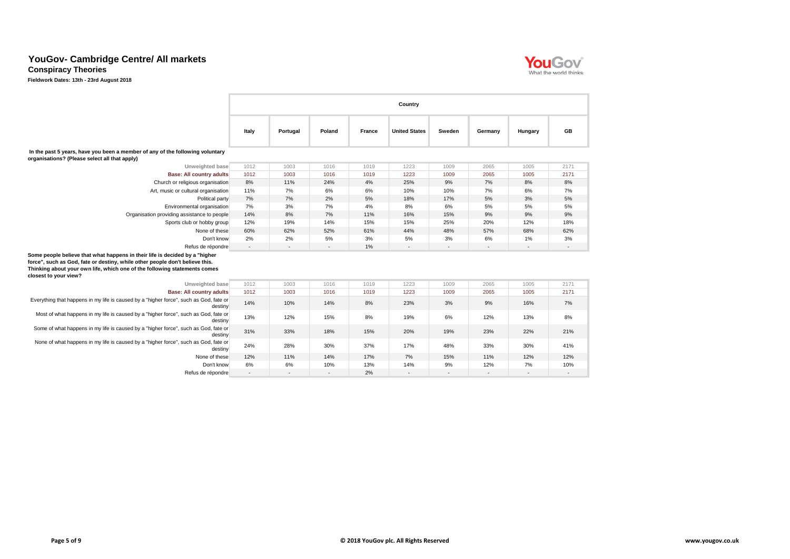**Conspiracy Theories**

|                                                                                                                                                                                                                                                                   | Country        |          |                          |               |                      |                          |                |                |                |  |  |
|-------------------------------------------------------------------------------------------------------------------------------------------------------------------------------------------------------------------------------------------------------------------|----------------|----------|--------------------------|---------------|----------------------|--------------------------|----------------|----------------|----------------|--|--|
|                                                                                                                                                                                                                                                                   | Italy          | Portugal | Poland                   | <b>France</b> | <b>United States</b> | Sweden                   | Germany        | Hungary        | GB             |  |  |
| In the past 5 years, have you been a member of any of the following voluntary<br>organisations? (Please select all that apply)                                                                                                                                    |                |          |                          |               |                      |                          |                |                |                |  |  |
| Unweighted base                                                                                                                                                                                                                                                   | 1012           | 1003     | 1016                     | 1019          | 1223                 | 1009                     | 2065           | 1005           | 2171           |  |  |
| <b>Base: All country adults</b>                                                                                                                                                                                                                                   | 1012           | 1003     | 1016                     | 1019          | 1223                 | 1009                     | 2065           | 1005           | 2171           |  |  |
| Church or religious organisation                                                                                                                                                                                                                                  | 8%             | 11%      | 24%                      | 4%            | 25%                  | $9\%$                    | 7%             | 8%             | 8%             |  |  |
| Art, music or cultural organisation                                                                                                                                                                                                                               | 11%            | 7%       | 6%                       | 6%            | 10%                  | 10%                      | 7%             | 6%             | 7%             |  |  |
| Political party                                                                                                                                                                                                                                                   | 7%             | 7%       | 2%                       | 5%            | 18%                  | 17%                      | 5%             | 3%             | 5%             |  |  |
| Environmental organisation                                                                                                                                                                                                                                        | 7%             | 3%       | 7%                       | 4%            | 8%                   | 6%                       | 5%             | 5%             | 5%             |  |  |
| Organisation providing assistance to people                                                                                                                                                                                                                       | 14%            | 8%       | 7%                       | 11%           | 16%                  | 15%                      | 9%             | 9%             | 9%             |  |  |
| Sports club or hobby group                                                                                                                                                                                                                                        | 12%            | 19%      | 14%                      | 15%           | 15%                  | 25%                      | 20%            | 12%            | 18%            |  |  |
| None of these                                                                                                                                                                                                                                                     | 60%            | 62%      | 52%                      | 61%           | 44%                  | 48%                      | 57%            | 68%            | 62%            |  |  |
| Don't know                                                                                                                                                                                                                                                        | 2%             | 2%       | 5%                       | 3%            | 5%                   | 3%                       | 6%             | 1%             | 3%             |  |  |
| Refus de répondre                                                                                                                                                                                                                                                 | $\blacksquare$ |          | $\overline{\phantom{a}}$ | 1%            |                      | $\overline{\phantom{a}}$ | $\blacksquare$ | $\blacksquare$ | $\blacksquare$ |  |  |
| Some people believe that what happens in their life is decided by a "higher<br>force", such as God, fate or destiny, while other people don't believe this.<br>Thinking about your own life, which one of the following statements comes<br>closest to your view? |                |          |                          |               |                      |                          |                |                |                |  |  |
| Unweighted base                                                                                                                                                                                                                                                   | 1012           | 1003     | 1016                     | 1019          | 1223                 | 1009                     | 2065           | 1005           | 2171           |  |  |
| <b>Base: All country adults</b>                                                                                                                                                                                                                                   | 1012           | 1003     | 1016                     | 1019          | 1223                 | 1009                     | 2065           | 1005           | 2171           |  |  |
| Everything that happens in my life is caused by a "higher force", such as God, fate or<br>destiny                                                                                                                                                                 | 14%            | 10%      | 14%                      | 8%            | 23%                  | 3%                       | 9%             | 16%            | 7%             |  |  |
| Most of what happens in my life is caused by a "higher force", such as God, fate or<br>destiny                                                                                                                                                                    | 13%            | 12%      | 15%                      | 8%            | 19%                  | $6\%$                    | 12%            | 13%            | 8%             |  |  |
| Some of what happens in my life is caused by a "higher force", such as God, fate or<br>destiny                                                                                                                                                                    | 31%            | 33%      | 18%                      | 15%           | 20%                  | 19%                      | 23%            | 22%            | 21%            |  |  |
| None of what happens in my life is caused by a "higher force", such as God, fate or<br>destiny                                                                                                                                                                    | 24%            | 28%      | 30%                      | 37%           | 17%                  | 48%                      | 33%            | 30%            | 41%            |  |  |
| None of these                                                                                                                                                                                                                                                     | 12%            | 11%      | 14%                      | 17%           | 7%                   | 15%                      | 11%            | 12%            | 12%            |  |  |
| Don't know                                                                                                                                                                                                                                                        | 6%             | 6%       | 10%                      | 13%           | 14%                  | 9%                       | 12%            | 7%             | 10%            |  |  |
| Refus de répondre                                                                                                                                                                                                                                                 |                |          | $\sim$                   | 2%            | $\sim$               |                          | $\sim$         | $\blacksquare$ | $\sim$         |  |  |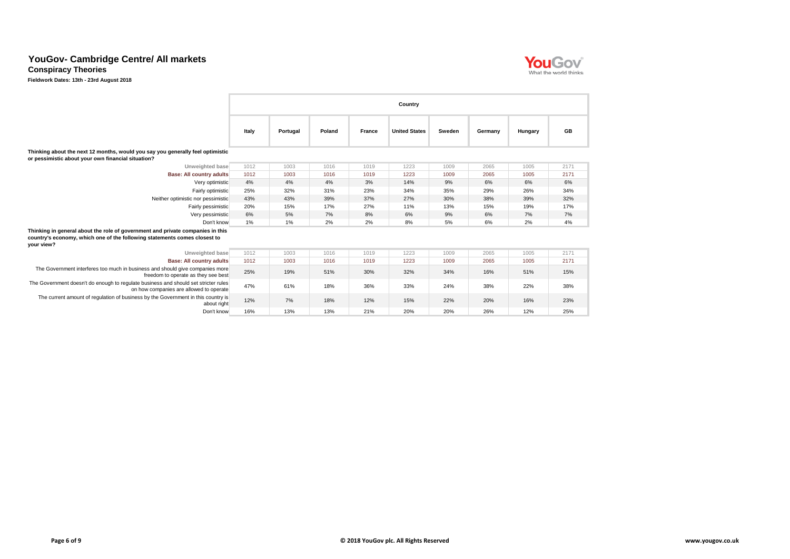**Conspiracy Theories**

|                                                                                                                                                                           |       |          |        |               | Country              |               |         |         |           |
|---------------------------------------------------------------------------------------------------------------------------------------------------------------------------|-------|----------|--------|---------------|----------------------|---------------|---------|---------|-----------|
|                                                                                                                                                                           | Italy | Portugal | Poland | <b>France</b> | <b>United States</b> | <b>Sweden</b> | Germany | Hungary | <b>GB</b> |
| Thinking about the next 12 months, would you say you generally feel optimistic<br>or pessimistic about your own financial situation?                                      |       |          |        |               |                      |               |         |         |           |
| Unweighted base                                                                                                                                                           | 1012  | 1003     | 1016   | 1019          | 1223                 | 1009          | 2065    | 1005    | 2171      |
| <b>Base: All country adults</b>                                                                                                                                           | 1012  | 1003     | 1016   | 1019          | 1223                 | 1009          | 2065    | 1005    | 2171      |
| Very optimistic                                                                                                                                                           | 4%    | 4%       | 4%     | 3%            | 14%                  | 9%            | 6%      | 6%      | 6%        |
| Fairly optimistic                                                                                                                                                         | 25%   | 32%      | 31%    | 23%           | 34%                  | 35%           | 29%     | 26%     | 34%       |
| Neither optimistic nor pessimistic                                                                                                                                        | 43%   | 43%      | 39%    | 37%           | 27%                  | 30%           | 38%     | 39%     | 32%       |
| Fairly pessimistic                                                                                                                                                        | 20%   | 15%      | 17%    | 27%           | 11%                  | 13%           | 15%     | 19%     | 17%       |
| Very pessimistic                                                                                                                                                          | 6%    | 5%       | 7%     | 8%            | 6%                   | 9%            | 6%      | 7%      | 7%        |
| Don't know                                                                                                                                                                | $1\%$ | 1%       | 2%     | 2%            | 8%                   | 5%            | 6%      | 2%      | 4%        |
| Thinking in general about the role of government and private companies in this<br>country's economy, which one of the following statements comes closest to<br>your view? |       |          |        |               |                      |               |         |         |           |
| Unweighted base                                                                                                                                                           | 1012  | 1003     | 1016   | 1019          | 1223                 | 1009          | 2065    | 1005    | 2171      |
| <b>Base: All country adults</b>                                                                                                                                           | 1012  | 1003     | 1016   | 1019          | 1223                 | 1009          | 2065    | 1005    | 2171      |
| The Government interferes too much in business and should give companies more<br>freedom to operate as they see best                                                      | 25%   | 19%      | 51%    | 30%           | 32%                  | 34%           | 16%     | 51%     | 15%       |
| The Government doesn't do enough to regulate business and should set stricter rules<br>on how companies are allowed to operate                                            | 47%   | 61%      | 18%    | 36%           | 33%                  | 24%           | 38%     | 22%     | 38%       |
| The current amount of regulation of business by the Government in this country is<br>about right                                                                          | 12%   | 7%       | 18%    | 12%           | 15%                  | 22%           | 20%     | 16%     | 23%       |
| Don't know                                                                                                                                                                | 16%   | 13%      | 13%    | 21%           | 20%                  | 20%           | 26%     | 12%     | 25%       |

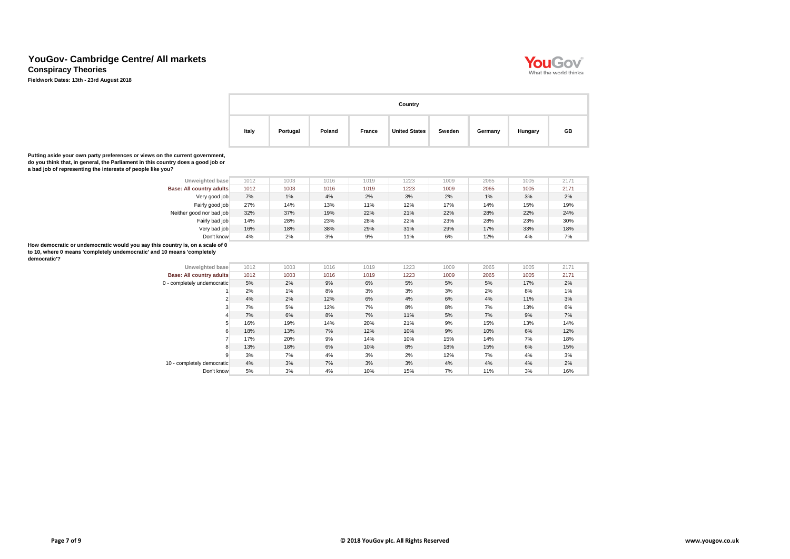**Conspiracy Theories**

**Fieldwork Dates: 13th - 23rd August 2018**



|       | Country  |        |        |                      |        |         |         |    |  |  |  |  |
|-------|----------|--------|--------|----------------------|--------|---------|---------|----|--|--|--|--|
| Italy | Portugal | Poland | France | <b>United States</b> | Sweden | Germany | Hungary | GB |  |  |  |  |

**Putting aside your own party preferences or views on the current government, do you think that, in general, the Parliament in this country does a good job or a bad job of representing the interests of people like you?**

| Unweighted base                                                                                                                                                          | 1012  | 1003                 | 1016 | 1019  | 1223  | 1009 | 2065  | 1005  | 2171                 |
|--------------------------------------------------------------------------------------------------------------------------------------------------------------------------|-------|----------------------|------|-------|-------|------|-------|-------|----------------------|
| <b>Base: All country adults</b>                                                                                                                                          | 1012  | 1003                 | 1016 | 1019  | 1223  | 1009 | 2065  | 1005  | 2171                 |
| Very good job                                                                                                                                                            | 7%    | $1\%$                | 4%   | 2%    | 3%    | 2%   | $1\%$ | 3%    | 2%                   |
| Fairly good job                                                                                                                                                          | 27%   | 14%                  | 13%  | 11%   | 12%   | 17%  | 14%   | 15%   | 19%                  |
| Neither good nor bad job                                                                                                                                                 | 32%   | 37%                  | 19%  | 22%   | 21%   | 22%  | 28%   | 22%   | 24%                  |
| Fairly bad job                                                                                                                                                           | 14%   | 28%                  | 23%  | 28%   | 22%   | 23%  | 28%   | 23%   | 30%                  |
| Very bad job                                                                                                                                                             | 16%   | 18%                  | 38%  | 29%   | 31%   | 29%  | 17%   | 33%   | 18%                  |
| Don't know                                                                                                                                                               | 4%    | 2%                   | 3%   | 9%    | 11%   | 6%   | 12%   | 4%    | 7%                   |
| How democratic or undemocratic would you say this country is, on a scale of 0<br>to 10, where 0 means 'completely undemocratic' and 10 means 'completely<br>democratic'? |       |                      |      |       |       |      |       |       |                      |
| Unweighted base                                                                                                                                                          | 1012  | 1003                 | 1016 | 1019  | 1223  | 1009 | 2065  | 1005  | 2171                 |
| Base: All country adults                                                                                                                                                 | 1012  | 1003                 | 1016 | 1019  | 1223  | 1009 | 2065  | 1005  | 2171                 |
| 0 - completely undemocratic                                                                                                                                              | 5%    | 2%                   | 9%   | 6%    | 5%    | 5%   | 5%    | 17%   | 2%                   |
|                                                                                                                                                                          | $  -$ | $\sim$ $\sim$ $\sim$ |      | $  -$ | $  -$ |      | $  -$ | $  -$ | $\sim$ $\sim$ $\sim$ |

| <b>PULLED AND ALL AND AND ADDRESS</b> | $\cdot$ $\circ$ $\cdot$ $\sim$ | $\sim$ | $\cdot$ $\circ$ $\cdot$ $\circ$ | $\sim$ $\sim$ | $- - -$ | $\sim$ | ---- | $\sim$ | -     |
|---------------------------------------|--------------------------------|--------|---------------------------------|---------------|---------|--------|------|--------|-------|
| <b>Base: All country adults</b>       | 1012                           | 1003   | 1016                            | 1019          | 1223    | 1009   | 2065 | 1005   | 2171  |
| - completely undemocratic             | 5%                             | 2%     | 9%                              | 6%            | 5%      | 5%     | 5%   | 17%    | $2\%$ |
|                                       | 2%                             | 1%     | 8%                              | 3%            | 3%      | 3%     | 2%   | 8%     | 1%    |
| 2                                     | 4%                             | 2%     | 12%                             | 6%            | 4%      | 6%     | 4%   | 11%    | 3%    |
| 3                                     | 7%                             | 5%     | 12%                             | 7%            | 8%      | 8%     | 7%   | 13%    | 6%    |
|                                       | 7%                             | 6%     | 8%                              | 7%            | 11%     | 5%     | 7%   | 9%     | 7%    |
| 5                                     | 16%                            | 19%    | 14%                             | 20%           | 21%     | 9%     | 15%  | 13%    | 14%   |
| 6                                     | 18%                            | 13%    | 7%                              | 12%           | 10%     | 9%     | 10%  | 6%     | 12%   |
|                                       | 17%                            | 20%    | 9%                              | 14%           | 10%     | 15%    | 14%  | 7%     | 18%   |
| 8                                     | 13%                            | 18%    | 6%                              | 10%           | 8%      | 18%    | 15%  | 6%     | 15%   |
| 9                                     | 3%                             | 7%     | 4%                              | 3%            | 2%      | 12%    | 7%   | 4%     | 3%    |
| 10 - completely democratic            | 4%                             | 3%     | 7%                              | 3%            | 3%      | 4%     | 4%   | 4%     | $2\%$ |
| Don't know                            | 5%                             | 3%     | 4%                              | 10%           | 15%     | 7%     | 11%  | 3%     | 16%   |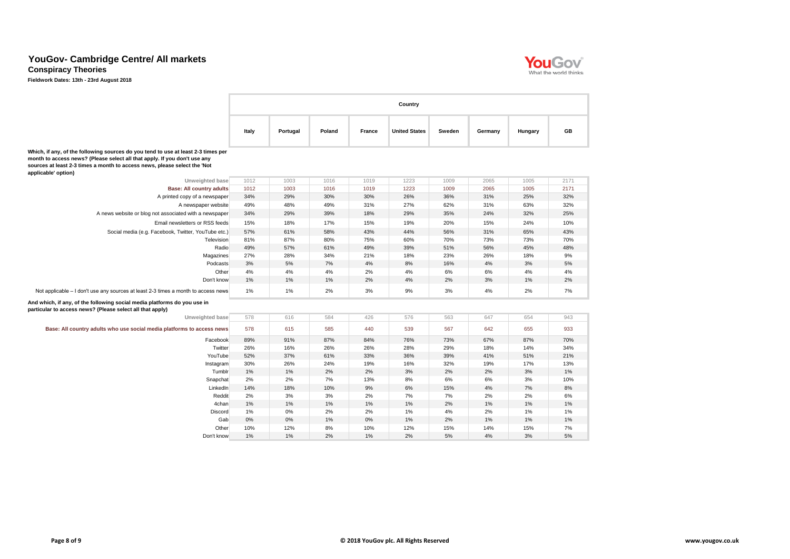**Conspiracy Theories**

|                                                                                                                                                                                                                                                                    | Country |          |        |               |                      |               |         |         |           |  |  |
|--------------------------------------------------------------------------------------------------------------------------------------------------------------------------------------------------------------------------------------------------------------------|---------|----------|--------|---------------|----------------------|---------------|---------|---------|-----------|--|--|
|                                                                                                                                                                                                                                                                    | Italy   | Portugal | Poland | <b>France</b> | <b>United States</b> | <b>Sweden</b> | Germany | Hungary | <b>GB</b> |  |  |
| Which, if any, of the following sources do you tend to use at least 2-3 times per<br>month to access news? (Please select all that apply. If you don't use any<br>sources at least 2-3 times a month to access news, please select the 'Not<br>applicable' option) |         |          |        |               |                      |               |         |         |           |  |  |
| Unweighted base                                                                                                                                                                                                                                                    | 1012    | 1003     | 1016   | 1019          | 1223                 | 1009          | 2065    | 1005    | 2171      |  |  |
| <b>Base: All country adults</b>                                                                                                                                                                                                                                    | 1012    | 1003     | 1016   | 1019          | 1223                 | 1009          | 2065    | 1005    | 2171      |  |  |
| A printed copy of a newspaper                                                                                                                                                                                                                                      | 34%     | 29%      | 30%    | 30%           | 26%                  | 36%           | 31%     | 25%     | 32%       |  |  |
| A newspaper website                                                                                                                                                                                                                                                | 49%     | 48%      | 49%    | 31%           | 27%                  | 62%           | 31%     | 63%     | 32%       |  |  |
| A news website or blog not associated with a newspaper                                                                                                                                                                                                             | 34%     | 29%      | 39%    | 18%           | 29%                  | 35%           | 24%     | 32%     | 25%       |  |  |
| Email newsletters or RSS feeds                                                                                                                                                                                                                                     | 15%     | 18%      | 17%    | 15%           | 19%                  | 20%           | 15%     | 24%     | 10%       |  |  |
| Social media (e.g. Facebook, Twitter, YouTube etc.)                                                                                                                                                                                                                | 57%     | 61%      | 58%    | 43%           | 44%                  | 56%           | 31%     | 65%     | 43%       |  |  |
| Television                                                                                                                                                                                                                                                         | 81%     | 87%      | 80%    | 75%           | 60%                  | 70%           | 73%     | 73%     | 70%       |  |  |
| Radio                                                                                                                                                                                                                                                              | 49%     | 57%      | 61%    | 49%           | 39%                  | 51%           | 56%     | 45%     | 48%       |  |  |
| Magazines                                                                                                                                                                                                                                                          | 27%     | 28%      | 34%    | 21%           | 18%                  | 23%           | 26%     | 18%     | 9%        |  |  |
| <b>Podcasts</b>                                                                                                                                                                                                                                                    | 3%      | 5%       | 7%     | 4%            | 8%                   | 16%           | 4%      | 3%      | 5%        |  |  |
| Other                                                                                                                                                                                                                                                              | 4%      | 4%       | 4%     | 2%            | 4%                   | 6%            | 6%      | 4%      | 4%        |  |  |
| Don't know                                                                                                                                                                                                                                                         | $1\%$   | 1%       | 1%     | 2%            | 4%                   | 2%            | 3%      | $1\%$   | 2%        |  |  |
| Not applicable – I don't use any sources at least 2-3 times a month to access news                                                                                                                                                                                 | 1%      | 1%       | 2%     | 3%            | 9%                   | $3%$          | 4%      | 2%      | 7%        |  |  |
| And which, if any, of the following social media platforms do you use in<br>particular to access news? (Please select all that apply)                                                                                                                              |         |          |        |               |                      |               |         |         |           |  |  |
| Unweighted base                                                                                                                                                                                                                                                    | 578     | 616      | 584    | 426           | 576                  | 563           | 647     | 654     | 943       |  |  |
| Base: All country adults who use social media platforms to access news                                                                                                                                                                                             | 578     | 615      | 585    | 440           | 539                  | 567           | 642     | 655     | 933       |  |  |
| Facebook                                                                                                                                                                                                                                                           | 89%     | 91%      | 87%    | 84%           | 76%                  | 73%           | 67%     | 87%     | 70%       |  |  |
| Twitter                                                                                                                                                                                                                                                            | 26%     | 16%      | 26%    | 26%           | 28%                  | 29%           | 18%     | 14%     | 34%       |  |  |
| YouTube                                                                                                                                                                                                                                                            | 52%     | 37%      | 61%    | 33%           | 36%                  | 39%           | 41%     | 51%     | 21%       |  |  |
| Instagram                                                                                                                                                                                                                                                          | 30%     | 26%      | 24%    | 19%           | 16%                  | 32%           | 19%     | 17%     | 13%       |  |  |
| Tumblr                                                                                                                                                                                                                                                             | 1%      | 1%       | 2%     | 2%            | 3%                   | 2%            | 2%      | 3%      | 1%        |  |  |
| Snapchat                                                                                                                                                                                                                                                           | 2%      | 2%       | 7%     | 13%           | 8%                   | 6%            | 6%      | 3%      | 10%       |  |  |
| LinkedIn                                                                                                                                                                                                                                                           | 14%     | 18%      | 10%    | 9%            | 6%                   | 15%           | 4%      | 7%      | 8%        |  |  |
| Reddit                                                                                                                                                                                                                                                             | 2%      | 3%       | 3%     | 2%            | 7%                   | 7%            | 2%      | 2%      | 6%        |  |  |
| 4chan                                                                                                                                                                                                                                                              | 1%      | 1%       | 1%     | 1%            | 1%                   | 2%            | 1%      | 1%      | 1%        |  |  |
| <b>Discord</b>                                                                                                                                                                                                                                                     | 1%      | 0%       | 2%     | 2%            | 1%                   | 4%            | 2%      | $1\%$   | 1%        |  |  |
| Gab                                                                                                                                                                                                                                                                | $0\%$   | $0\%$    | 1%     | $0\%$         | 1%                   | 2%            | 1%      | 1%      | 1%        |  |  |
| Other                                                                                                                                                                                                                                                              | 10%     | 12%      | 8%     | 10%           | 12%                  | 15%           | 14%     | 15%     | 7%        |  |  |
| Don't know                                                                                                                                                                                                                                                         | 1%      | 1%       | 2%     | 1%            | 2%                   | 5%            | 4%      | 3%      | $5\%$     |  |  |